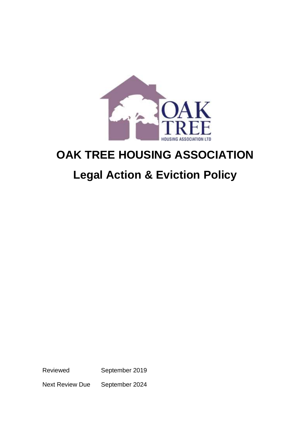

# **OAK TREE HOUSING ASSOCIATION**

# **Legal Action & Eviction Policy**

Reviewed September 2019

Next Review Due September 2024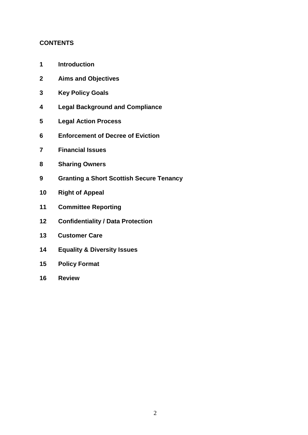# **CONTENTS**

- **Introduction**
- **Aims and Objectives**
- **Key Policy Goals**
- **Legal Background and Compliance**
- **Legal Action Process**
- **Enforcement of Decree of Eviction**
- **Financial Issues**
- **Sharing Owners**
- **Granting a Short Scottish Secure Tenancy**
- **Right of Appeal**
- **Committee Reporting**
- **Confidentiality / Data Protection**
- **Customer Care**
- **Equality & Diversity Issues**
- **Policy Format**
- **Review**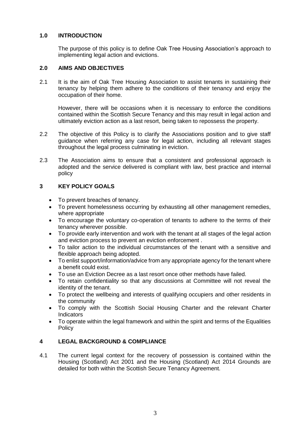## **1.0 INTRODUCTION**

The purpose of this policy is to define Oak Tree Housing Association's approach to implementing legal action and evictions.

## **2.0 AIMS AND OBJECTIVES**

2.1 It is the aim of Oak Tree Housing Association to assist tenants in sustaining their tenancy by helping them adhere to the conditions of their tenancy and enjoy the occupation of their home.

However, there will be occasions when it is necessary to enforce the conditions contained within the Scottish Secure Tenancy and this may result in legal action and ultimately eviction action as a last resort, being taken to repossess the property.

- 2.2 The objective of this Policy is to clarify the Associations position and to give staff guidance when referring any case for legal action, including all relevant stages throughout the legal process culminating in eviction.
- 2.3 The Association aims to ensure that a consistent and professional approach is adopted and the service delivered is compliant with law, best practice and internal policy

# **3 KEY POLICY GOALS**

- To prevent breaches of tenancy.
- To prevent homelessness occurring by exhausting all other management remedies, where appropriate
- To encourage the voluntary co-operation of tenants to adhere to the terms of their tenancy wherever possible.
- To provide early intervention and work with the tenant at all stages of the legal action and eviction process to prevent an eviction enforcement .
- To tailor action to the individual circumstances of the tenant with a sensitive and flexible approach being adopted.
- To enlist support/information/advice from any appropriate agency for the tenant where a benefit could exist.
- To use an Eviction Decree as a last resort once other methods have failed.
- To retain confidentiality so that any discussions at Committee will not reveal the identity of the tenant.
- To protect the wellbeing and interests of qualifying occupiers and other residents in the community
- To comply with the Scottish Social Housing Charter and the relevant Charter Indicators
- To operate within the legal framework and within the spirit and terms of the Equalities **Policy**

# **4 LEGAL BACKGROUND & COMPLIANCE**

4.1 The current legal context for the recovery of possession is contained within the Housing (Scotland) Act 2001 and the Housing (Scotland) Act 2014 Grounds are detailed for both within the Scottish Secure Tenancy Agreement.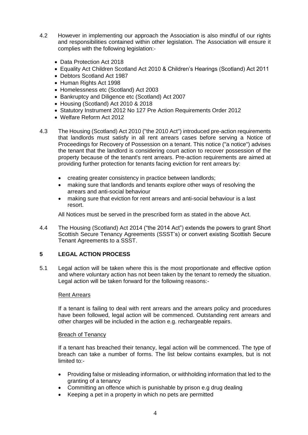- 4.2 However in implementing our approach the Association is also mindful of our rights and responsibilities contained within other legislation. The Association will ensure it complies with the following legislation:-
	- Data Protection Act 2018
	- Equality Act Children Scotland Act 2010 & Children's Hearings (Scotland) Act 2011
	- Debtors Scotland Act 1987
	- Human Rights Act 1998
	- Homelessness etc (Scotland) Act 2003
	- Bankruptcy and Diligence etc (Scotland) Act 2007
	- Housing (Scotland) Act 2010 & 2018
	- Statutory Instrument 2012 No 127 Pre Action Requirements Order 2012
	- Welfare Reform Act 2012
- 4.3 The Housing (Scotland) Act 2010 ("the 2010 Act") introduced pre-action requirements that landlords must satisfy in all rent arrears cases before serving a Notice of Proceedings for Recovery of Possession on a tenant. This notice ("a notice") advises the tenant that the landlord is considering court action to recover possession of the property because of the tenant's rent arrears. Pre-action requirements are aimed at providing further protection for tenants facing eviction for rent arrears by:
	- creating greater consistency in practice between landlords;
	- making sure that landlords and tenants explore other ways of resolving the arrears and anti-social behaviour
	- making sure that eviction for rent arrears and anti-social behaviour is a last resort.

All Notices must be served in the prescribed form as stated in the above Act.

4.4 The Housing (Scotland) Act 2014 ("the 2014 Act") extends the powers to grant Short Scottish Secure Tenancy Agreements (SSST's) or convert existing Scottish Secure Tenant Agreements to a SSST.

# **5 LEGAL ACTION PROCESS**

5.1 Legal action will be taken where this is the most proportionate and effective option and where voluntary action has not been taken by the tenant to remedy the situation. Legal action will be taken forward for the following reasons:-

## Rent Arrears

If a tenant is failing to deal with rent arrears and the arrears policy and procedures have been followed, legal action will be commenced. Outstanding rent arrears and other charges will be included in the action e.g. rechargeable repairs.

#### Breach of Tenancy

If a tenant has breached their tenancy, legal action will be commenced. The type of breach can take a number of forms. The list below contains examples, but is not limited to:-

- Providing false or misleading information, or withholding information that led to the granting of a tenancy
- Committing an offence which is punishable by prison e.g drug dealing
- Keeping a pet in a property in which no pets are permitted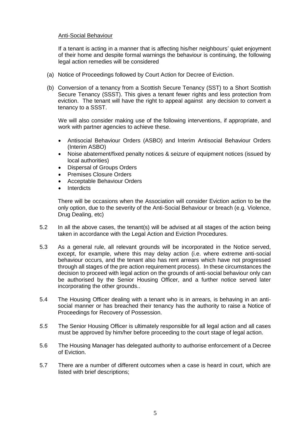### Anti-Social Behaviour

If a tenant is acting in a manner that is affecting his/her neighbours' quiet enjoyment of their home and despite formal warnings the behaviour is continuing, the following legal action remedies will be considered

- (a) Notice of Proceedings followed by Court Action for Decree of Eviction.
- (b) Conversion of a tenancy from a Scottish Secure Tenancy (SST) to a Short Scottish Secure Tenancy (SSST). This gives a tenant fewer rights and less protection from eviction. The tenant will have the right to appeal against any decision to convert a tenancy to a SSST.

We will also consider making use of the following interventions, if appropriate, and work with partner agencies to achieve these.

- Antisocial Behaviour Orders (ASBO) and Interim Antisocial Behaviour Orders (Interim ASBO)
- Noise abatement/fixed penalty notices & seizure of equipment notices (issued by local authorities)
- Dispersal of Groups Orders
- Premises Closure Orders
- Acceptable Behaviour Orders
- **Interdicts**

There will be occasions when the Association will consider Eviction action to be the only option, due to the severity of the Anti-Social Behaviour or breach (e.g. Violence, Drug Dealing, etc)

- 5.2 In all the above cases, the tenant(s) will be advised at all stages of the action being taken in accordance with the Legal Action and Eviction Procedures.
- 5.3 As a general rule, all relevant grounds will be incorporated in the Notice served, except, for example, where this may delay action (i.e. where extreme anti-social behaviour occurs, and the tenant also has rent arrears which have not progressed through all stages of the pre action requirement process). In these circumstances the decision to proceed with legal action on the grounds of anti-social behaviour only can be authorised by the Senior Housing Officer, and a further notice served later incorporating the other grounds..
- 5.4 The Housing Officer dealing with a tenant who is in arrears, is behaving in an antisocial manner or has breached their tenancy has the authority to raise a Notice of Proceedings for Recovery of Possession.
- *5.5* The Senior Housing Officer is ultimately responsible for all legal action and all cases must be approved by him/her before proceeding to the court stage of legal action.
- 5.6 The Housing Manager has delegated authority to authorise enforcement of a Decree of Eviction.
- 5.7 There are a number of different outcomes when a case is heard in court, which are listed with brief descriptions;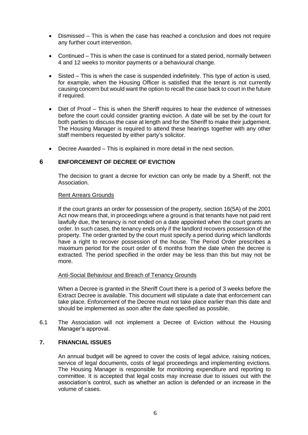- Dismissed This is when the case has reached a conclusion and does not require any further court intervention.
- Continued This is when the case is continued for a stated period, normally between 4 and 12 weeks to monitor payments or a behavioural change.
- Sisted This is when the case is suspended indefinitely. This type of action is used, for example, when the Housing Officer is satisfied that the tenant is not currently causing concern but would want the option to recall the case back to court in the future if required.
- Diet of Proof This is when the Sheriff requires to hear the evidence of witnesses before the court could consider granting eviction. A date will be set by the court for both parties to discuss the case at length and for the Sheriff to make their judgement. The Housing Manager is required to attend these hearings together with any other staff members requested by either party's solicitor.
- Decree Awarded This is explained in more detail in the next section.

## **6 ENFORCEMENT OF DECREE OF EVICTION**

The decision to grant a decree for eviction can only be made by a Sheriff, not the Association.

#### Rent Arrears Grounds

If the court grants an order for possession of the property, section 16(5A) of the 2001 Act now means that, in proceedings where a ground is that tenants have not paid rent lawfully due, the tenancy is not ended on a date appointed when the court grants an order. In such cases, the tenancy ends only if the landlord recovers possession of the property. The order granted by the court must specify a period during which landlords have a right to recover possession of the house. The Period Order prescribes a maximum period for the court order of 6 months from the date when the decree is extracted. The period specified in the order may be less than this but may not be more.

#### Anti-Social Behaviour and Breach of Tenancy Grounds

When a Decree is granted in the Sheriff Court there is a period of 3 weeks before the Extract Decree is available. This document will stipulate a date that enforcement can take place. Enforcement of the Decree must not take place earlier than this date and should be implemented as soon after the date specified as possible.

6.1 The Association will not implement a Decree of Eviction without the Housing Manager's approval.

## **7. FINANCIAL ISSUES**

An annual budget will be agreed to cover the costs of legal advice, raising notices, service of legal documents, costs of legal proceedings and implementing evictions. The Housing Manager is responsible for monitoring expenditure and reporting to committee. It is accepted that legal costs may increase due to issues out with the association's control, such as whether an action is defended or an increase in the volume of cases.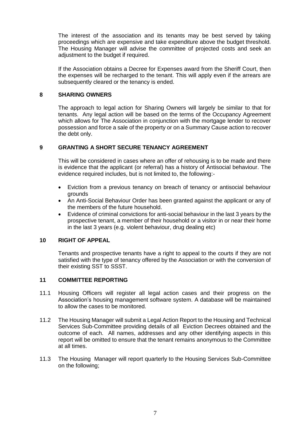The interest of the association and its tenants may be best served by taking proceedings which are expensive and take expenditure above the budget threshold. The Housing Manager will advise the committee of projected costs and seek an adiustment to the budget if required.

If the Association obtains a Decree for Expenses award from the Sheriff Court, then the expenses will be recharged to the tenant. This will apply even if the arrears are subsequently cleared or the tenancy is ended.

### **8 SHARING OWNERS**

The approach to legal action for Sharing Owners will largely be similar to that for tenants. Any legal action will be based on the terms of the Occupancy Agreement which allows for The Association in conjunction with the mortgage lender to recover possession and force a sale of the property or on a Summary Cause action to recover the debt only.

## **9 GRANTING A SHORT SECURE TENANCY AGREEMENT**

This will be considered in cases where an offer of rehousing is to be made and there is evidence that the applicant (or referral) has a history of Antisocial behaviour. The evidence required includes, but is not limited to, the following:-

- Eviction from a previous tenancy on breach of tenancy or antisocial behaviour grounds
- An Anti-Social Behaviour Order has been granted against the applicant or any of the members of the future household.
- Evidence of criminal convictions for anti-social behaviour in the last 3 years by the prospective tenant, a member of their household or a visitor in or near their home in the last 3 years (e.g. violent behaviour, drug dealing etc)

## **10 RIGHT OF APPEAL**

Tenants and prospective tenants have a right to appeal to the courts if they are not satisfied with the type of tenancy offered by the Association or with the conversion of their existing SST to SSST.

## **11 COMMITTEE REPORTING**

- 11.1 Housing Officers will register all legal action cases and their progress on the Association's housing management software system. A database will be maintained to allow the cases to be monitored.
- 11.2 The Housing Manager will submit a Legal Action Report to the Housing and Technical Services Sub-Committee providing details of all Eviction Decrees obtained and the outcome of each. All names, addresses and any other identifying aspects in this report will be omitted to ensure that the tenant remains anonymous to the Committee at all times.
- 11.3 The Housing Manager will report quarterly to the Housing Services Sub-Committee on the following;